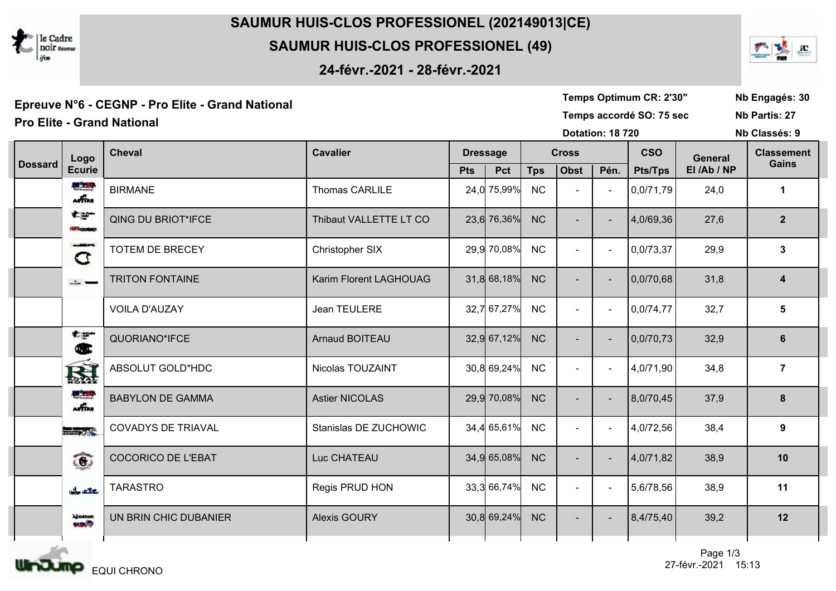

## SAUMUR HUIS-CLOS PROFESSIONEL (202149013|CE)

## SAUMUR HUIS-CLOS PROFESSIONEL (49)

24-févr.-2021 - 28-févr.-2021



| Epreuve N°6 - CEGNP - Pro Elite - Grand National |                                      |                           |                        |                         |             |              |                     |   | Temps Optimum CR: 2'30"  |                |                   |  |  |
|--------------------------------------------------|--------------------------------------|---------------------------|------------------------|-------------------------|-------------|--------------|---------------------|---|--------------------------|----------------|-------------------|--|--|
| <b>Pro Elite - Grand National</b>                |                                      |                           |                        |                         |             |              |                     |   | Temps accordé SO: 75 sec |                |                   |  |  |
|                                                  |                                      |                           |                        | <b>Dotation: 18 720</b> |             |              |                     |   |                          |                | Nb Classés: 9     |  |  |
|                                                  | Logo                                 | <b>Cheval</b>             | <b>Cavalier</b>        | <b>Dressage</b>         |             | <b>Cross</b> |                     |   | <b>CSO</b>               | <b>General</b> | <b>Classement</b> |  |  |
| <b>Dossard</b>                                   | <b>Ecurie</b>                        |                           |                        | <b>Pts</b>              | Pct         | <b>Tps</b>   | <b>Obst</b><br>Pén. |   | <b>Pts/Tps</b>           | El /Ab / NP    | <b>Gains</b>      |  |  |
|                                                  | 開工場<br>affan                         | <b>BIRMANE</b>            | Thomas CARLILE         |                         | 24,0 75,99% | <b>NC</b>    |                     |   | 0,0/71,79                | 24,0           | $\mathbf 1$       |  |  |
|                                                  | 右部<br><b>PERMIT AND</b>              | <b>QING DU BRIOT*IFCE</b> | Thibaut VALLETTE LT CO |                         | 23,6 76,36% | <b>NC</b>    |                     |   | 4,0/69,36                | 27,6           | $\overline{2}$    |  |  |
|                                                  | ومروعها<br>C                         | TOTEM DE BRECEY           | Christopher SIX        |                         | 29,9 70,08% | NC           |                     |   | 0,0/73,37                | 29,9           | $\mathbf{3}$      |  |  |
|                                                  | $L =$                                | <b>TRITON FONTAINE</b>    | Karim Florent LAGHOUAG |                         | 31,8 68,18% | <b>NC</b>    |                     |   | 0,0/70,68                | 31,8           | 4                 |  |  |
|                                                  |                                      | <b>VOILA D'AUZAY</b>      | Jean TEULERE           |                         | 32,7 67,27% | NC           |                     | ÷ | 0,0/74,77                | 32,7           | 5                 |  |  |
|                                                  | 大學<br>Œ                              | QUORIANO*IFCE             | <b>Arnaud BOITEAU</b>  |                         | 32,9 67,12% | <b>NC</b>    |                     |   | 0,0/70,73                | 32,9           | 6                 |  |  |
|                                                  | 圏                                    | ABSOLUT GOLD*HDC          | Nicolas TOUZAINT       |                         | 30,8 69,24% | NC           |                     |   | 4,0/71,90                | 34,8           | $\overline{7}$    |  |  |
|                                                  | <b>BEST RE</b><br>$\omega_{\rm max}$ | <b>BABYLON DE GAMMA</b>   | <b>Astier NICOLAS</b>  |                         | 29,9 70,08% | <b>NC</b>    |                     |   | 8,0/70,45                | 37,9           | 8                 |  |  |
|                                                  | <b>Report</b>                        | <b>COVADYS DE TRIAVAL</b> | Stanislas DE ZUCHOWIC  |                         | 34,4 65,61% | <b>NC</b>    |                     |   | 4,0/72,56                | 38,4           | 9                 |  |  |
|                                                  | $\widehat{\mathbf{c}}$               | <b>COCORICO DE L'EBAT</b> | Luc CHATEAU            |                         | 34,9 65,08% | <b>NC</b>    |                     |   | 4,0/71,82                | 38,9           | 10                |  |  |
|                                                  | the affect                           | <b>TARASTRO</b>           | Regis PRUD HON         |                         | 33,3 66,74% | NC           |                     |   | 5,6/78,56                | 38,9           | 11                |  |  |
|                                                  | kjoston.<br><b>SAMP</b>              | UN BRIN CHIC DUBANIER     | <b>Alexis GOURY</b>    |                         | 30,8 69,24% | <b>NC</b>    |                     |   | 8,4/75,40                | 39,2           | 12                |  |  |
|                                                  |                                      |                           |                        |                         |             |              |                     |   |                          |                |                   |  |  |

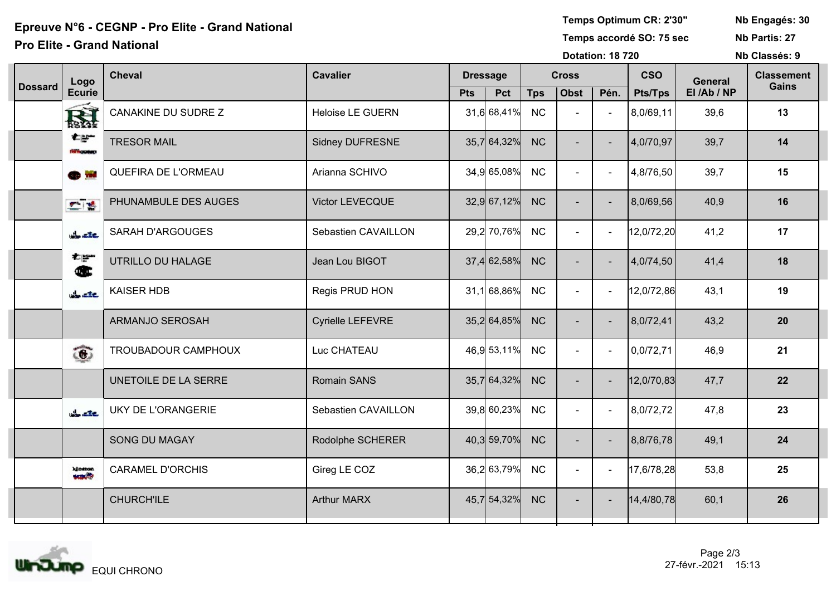# Epreuve N°6 - CEGNP - Pro Elite - Grand National New Realth Studies (Section 2008) Femps Optimum CR: 2'30" Nb Engagés: 30<br>Temps accordé SO: 75 sec No Partis: 27

#### **Pro Elite - Grand National**

Temps Optimum CR: 2'30"

Nb Partis: 27

Dotation: 18 720

Nb Classés: 9

|                | Logo                                                      | <b>Cheval</b>              | <b>Cavalier</b>         | <b>Dressage</b> |             |            | <b>Cross</b>   |                | <b>CSO</b>     | <b>General</b> | <b>Classement</b> |
|----------------|-----------------------------------------------------------|----------------------------|-------------------------|-----------------|-------------|------------|----------------|----------------|----------------|----------------|-------------------|
| <b>Dossard</b> | <b>Ecurie</b>                                             |                            |                         | <b>Pts</b>      | Pct         | <b>Tps</b> | Obst           | Pén.           | <b>Pts/Tps</b> | El/Ab/NP       | <b>Gains</b>      |
|                | <b>RA</b>                                                 | <b>CANAKINE DU SUDRE Z</b> | <b>Heloise LE GUERN</b> |                 | 31,6 68,41% | <b>NC</b>  | $\blacksquare$ | $\blacksquare$ | 8,0/69,11      | 39,6           | 13                |
|                | 右部<br><b>WASHING</b>                                      | <b>TRESOR MAIL</b>         | Sidney DUFRESNE         |                 | 35,7 64,32% | <b>NC</b>  | $\sim$         | $\sim$         | 4,0/70,97      | 39,7           | 14                |
|                | <b>OD</b> W                                               | QUEFIRA DE L'ORMEAU        | Arianna SCHIVO          |                 | 34,9 65,08% | NC         | $\sim$         |                | 4,8/76,50      | 39,7           | 15                |
|                | $\mathcal{F}^{\mathcal{A}}$ , $\mathcal{B}^{\mathcal{B}}$ | PHUNAMBULE DES AUGES       | Victor LEVECQUE         |                 | 32,9 67,12% | <b>NC</b>  | $\sim$         | $\sim$         | 8,0/69,56      | 40,9           | 16                |
|                | the affect                                                | <b>SARAH D'ARGOUGES</b>    | Sebastien CAVAILLON     |                 | 29,2 70,76% | NC         | $\sim$         | $\sim$         | 12,0/72,20     | 41,2           | 17                |
|                | 右翼<br>Œ                                                   | UTRILLO DU HALAGE          | Jean Lou BIGOT          |                 | 37,4 62,58% | <b>NC</b>  | $\sim$         | $\sim$         | 4,0/74,50      | 41,4           | 18                |
|                | $rac{1}{2}$                                               | <b>KAISER HDB</b>          | Regis PRUD HON          |                 | 31,1 68,86% | NC         | $\sim$         | $\sim$         | 12,0/72,86     | 43,1           | 19                |
|                |                                                           | <b>ARMANJO SEROSAH</b>     | Cyrielle LEFEVRE        |                 | 35,2 64,85% | <b>NC</b>  | $\sim$         | $\sim$         | 8,0/72,41      | 43,2           | 20                |
|                | $\widehat{\mathbf{c}}$                                    | TROUBADOUR CAMPHOUX        | Luc CHATEAU             |                 | 46,9 53,11% | NC         | $\sim$         | $\blacksquare$ | 0,0/72,71      | 46,9           | 21                |
|                |                                                           | UNETOILE DE LA SERRE       | <b>Romain SANS</b>      |                 | 35,7 64,32% | <b>NC</b>  | $\blacksquare$ | $\sim$         | 12,0/70,83     | 47,7           | 22                |
|                | the aire.                                                 | <b>UKY DE L'ORANGERIE</b>  | Sebastien CAVAILLON     |                 | 39,8 60,23% | NC         | $\blacksquare$ | $\sim$         | 8,0/72,72      | 47,8           | 23                |
|                |                                                           | <b>SONG DU MAGAY</b>       | Rodolphe SCHERER        |                 | 40,3 59,70% | <b>NC</b>  | $\sim$         |                | 8,8/76,78      | 49,1           | 24                |
|                | kineton.<br><b>AND</b>                                    | <b>CARAMEL D'ORCHIS</b>    | Gireg LE COZ            |                 | 36,2 63,79% | NC         | $\sim$         | $\sim$         | 17,6/78,28     | 53,8           | 25                |
|                |                                                           | <b>CHURCH'ILE</b>          | <b>Arthur MARX</b>      |                 | 45,7 54,32% | <b>NC</b>  | $\sim$         |                | 14,4/80,78     | 60,1           | 26                |